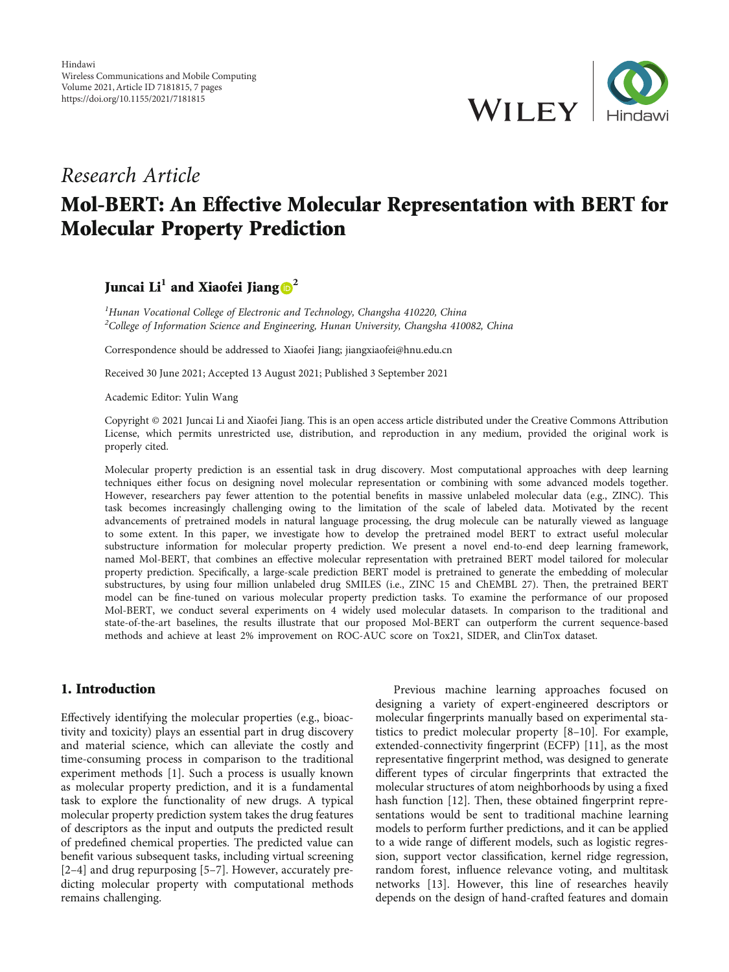

# Research Article Mol-BERT: An Effective Molecular Representation with BERT for Molecular Property Prediction

# Juncai  $Li<sup>1</sup>$  and Xiaofei Jiang  $\mathbf{D}^2$  $\mathbf{D}^2$

<sup>1</sup>Hunan Vocational College of Electronic and Technology, Changsha 410220, China <sup>2</sup>College of Information Science and Engineering, Hunan University, Changsha 410082, China

Correspondence should be addressed to Xiaofei Jiang; jiangxiaofei@hnu.edu.cn

Received 30 June 2021; Accepted 13 August 2021; Published 3 September 2021

Academic Editor: Yulin Wang

Copyright © 2021 Juncai Li and Xiaofei Jiang. This is an open access article distributed under the [Creative Commons Attribution](https://creativecommons.org/licenses/by/4.0/) [License,](https://creativecommons.org/licenses/by/4.0/) which permits unrestricted use, distribution, and reproduction in any medium, provided the original work is properly cited.

Molecular property prediction is an essential task in drug discovery. Most computational approaches with deep learning techniques either focus on designing novel molecular representation or combining with some advanced models together. However, researchers pay fewer attention to the potential benefits in massive unlabeled molecular data (e.g., ZINC). This task becomes increasingly challenging owing to the limitation of the scale of labeled data. Motivated by the recent advancements of pretrained models in natural language processing, the drug molecule can be naturally viewed as language to some extent. In this paper, we investigate how to develop the pretrained model BERT to extract useful molecular substructure information for molecular property prediction. We present a novel end-to-end deep learning framework, named Mol-BERT, that combines an effective molecular representation with pretrained BERT model tailored for molecular property prediction. Specifically, a large-scale prediction BERT model is pretrained to generate the embedding of molecular substructures, by using four million unlabeled drug SMILES (i.e., ZINC 15 and ChEMBL 27). Then, the pretrained BERT model can be fine-tuned on various molecular property prediction tasks. To examine the performance of our proposed Mol-BERT, we conduct several experiments on 4 widely used molecular datasets. In comparison to the traditional and state-of-the-art baselines, the results illustrate that our proposed Mol-BERT can outperform the current sequence-based methods and achieve at least 2% improvement on ROC-AUC score on Tox21, SIDER, and ClinTox dataset.

#### 1. Introduction

Effectively identifying the molecular properties (e.g., bioactivity and toxicity) plays an essential part in drug discovery and material science, which can alleviate the costly and time-consuming process in comparison to the traditional experiment methods [\[1](#page-5-0)]. Such a process is usually known as molecular property prediction, and it is a fundamental task to explore the functionality of new drugs. A typical molecular property prediction system takes the drug features of descriptors as the input and outputs the predicted result of predefined chemical properties. The predicted value can benefit various subsequent tasks, including virtual screening [\[2](#page-5-0)–[4](#page-5-0)] and drug repurposing [[5](#page-5-0)–[7](#page-5-0)]. However, accurately predicting molecular property with computational methods remains challenging.

Previous machine learning approaches focused on designing a variety of expert-engineered descriptors or molecular fingerprints manually based on experimental statistics to predict molecular property [\[8](#page-5-0)–[10](#page-5-0)]. For example, extended-connectivity fingerprint (ECFP) [\[11\]](#page-5-0), as the most representative fingerprint method, was designed to generate different types of circular fingerprints that extracted the molecular structures of atom neighborhoods by using a fixed hash function [[12](#page-5-0)]. Then, these obtained fingerprint representations would be sent to traditional machine learning models to perform further predictions, and it can be applied to a wide range of different models, such as logistic regression, support vector classification, kernel ridge regression, random forest, influence relevance voting, and multitask networks [[13\]](#page-5-0). However, this line of researches heavily depends on the design of hand-crafted features and domain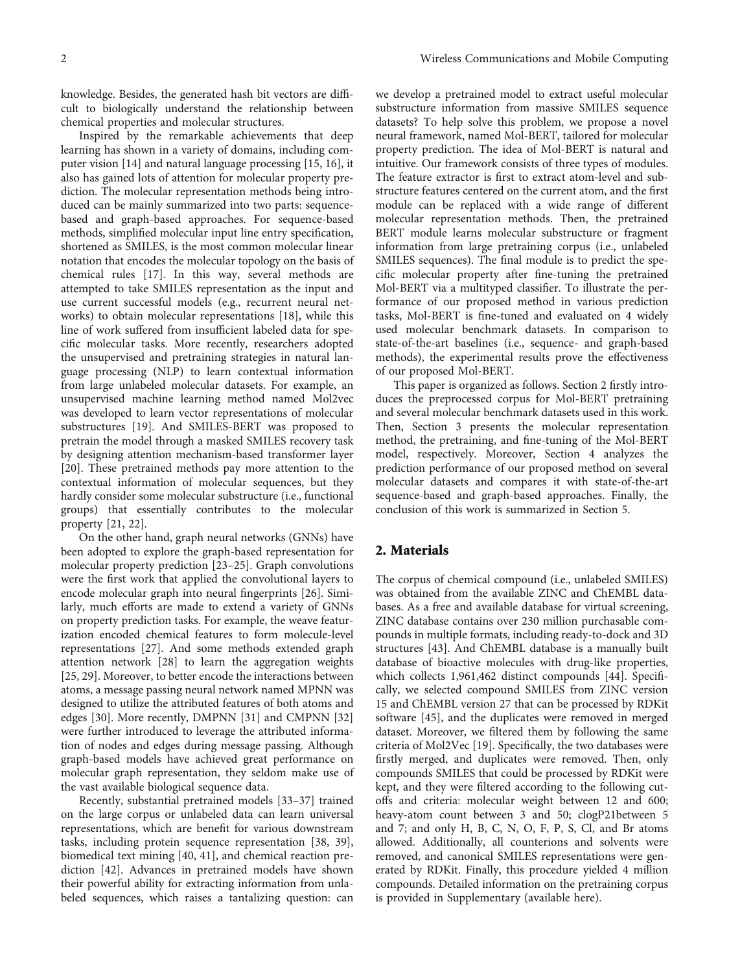knowledge. Besides, the generated hash bit vectors are difficult to biologically understand the relationship between chemical properties and molecular structures.

Inspired by the remarkable achievements that deep learning has shown in a variety of domains, including computer vision [[14](#page-5-0)] and natural language processing [\[15, 16](#page-5-0)], it also has gained lots of attention for molecular property prediction. The molecular representation methods being introduced can be mainly summarized into two parts: sequencebased and graph-based approaches. For sequence-based methods, simplified molecular input line entry specification, shortened as SMILES, is the most common molecular linear notation that encodes the molecular topology on the basis of chemical rules [\[17\]](#page-5-0). In this way, several methods are attempted to take SMILES representation as the input and use current successful models (e.g., recurrent neural networks) to obtain molecular representations [[18](#page-5-0)], while this line of work suffered from insufficient labeled data for specific molecular tasks. More recently, researchers adopted the unsupervised and pretraining strategies in natural language processing (NLP) to learn contextual information from large unlabeled molecular datasets. For example, an unsupervised machine learning method named Mol2vec was developed to learn vector representations of molecular substructures [\[19\]](#page-5-0). And SMILES-BERT was proposed to pretrain the model through a masked SMILES recovery task by designing attention mechanism-based transformer layer [\[20](#page-5-0)]. These pretrained methods pay more attention to the contextual information of molecular sequences, but they hardly consider some molecular substructure (i.e., functional groups) that essentially contributes to the molecular property [[21, 22](#page-5-0)].

On the other hand, graph neural networks (GNNs) have been adopted to explore the graph-based representation for molecular property prediction [[23](#page-5-0)–[25](#page-6-0)]. Graph convolutions were the first work that applied the convolutional layers to encode molecular graph into neural fingerprints [\[26\]](#page-6-0). Similarly, much efforts are made to extend a variety of GNNs on property prediction tasks. For example, the weave featurization encoded chemical features to form molecule-level representations [\[27](#page-6-0)]. And some methods extended graph attention network [\[28\]](#page-6-0) to learn the aggregation weights [\[25](#page-6-0), [29\]](#page-6-0). Moreover, to better encode the interactions between atoms, a message passing neural network named MPNN was designed to utilize the attributed features of both atoms and edges [\[30\]](#page-6-0). More recently, DMPNN [\[31\]](#page-6-0) and CMPNN [[32\]](#page-6-0) were further introduced to leverage the attributed information of nodes and edges during message passing. Although graph-based models have achieved great performance on molecular graph representation, they seldom make use of the vast available biological sequence data.

Recently, substantial pretrained models [\[33](#page-6-0)–[37\]](#page-6-0) trained on the large corpus or unlabeled data can learn universal representations, which are benefit for various downstream tasks, including protein sequence representation [\[38, 39](#page-6-0)], biomedical text mining [[40](#page-6-0), [41](#page-6-0)], and chemical reaction prediction [\[42\]](#page-6-0). Advances in pretrained models have shown their powerful ability for extracting information from unlabeled sequences, which raises a tantalizing question: can

we develop a pretrained model to extract useful molecular substructure information from massive SMILES sequence datasets? To help solve this problem, we propose a novel neural framework, named Mol-BERT, tailored for molecular property prediction. The idea of Mol-BERT is natural and intuitive. Our framework consists of three types of modules. The feature extractor is first to extract atom-level and substructure features centered on the current atom, and the first module can be replaced with a wide range of different molecular representation methods. Then, the pretrained BERT module learns molecular substructure or fragment information from large pretraining corpus (i.e., unlabeled SMILES sequences). The final module is to predict the specific molecular property after fine-tuning the pretrained Mol-BERT via a multityped classifier. To illustrate the performance of our proposed method in various prediction tasks, Mol-BERT is fine-tuned and evaluated on 4 widely used molecular benchmark datasets. In comparison to state-of-the-art baselines (i.e., sequence- and graph-based methods), the experimental results prove the effectiveness of our proposed Mol-BERT.

This paper is organized as follows. Section 2 firstly introduces the preprocessed corpus for Mol-BERT pretraining and several molecular benchmark datasets used in this work. Then, Section [3](#page-2-0) presents the molecular representation method, the pretraining, and fine-tuning of the Mol-BERT model, respectively. Moreover, Section [4](#page-3-0) analyzes the prediction performance of our proposed method on several molecular datasets and compares it with state-of-the-art sequence-based and graph-based approaches. Finally, the conclusion of this work is summarized in Section [5.](#page-4-0)

## 2. Materials

The corpus of chemical compound (i.e., unlabeled SMILES) was obtained from the available ZINC and ChEMBL databases. As a free and available database for virtual screening, ZINC database contains over 230 million purchasable compounds in multiple formats, including ready-to-dock and 3D structures [\[43\]](#page-6-0). And ChEMBL database is a manually built database of bioactive molecules with drug-like properties, which collects 1,961,462 distinct compounds [[44\]](#page-6-0). Specifically, we selected compound SMILES from ZINC version 15 and ChEMBL version 27 that can be processed by RDKit software [[45](#page-6-0)], and the duplicates were removed in merged dataset. Moreover, we filtered them by following the same criteria of Mol2Vec [\[19\]](#page-5-0). Specifically, the two databases were firstly merged, and duplicates were removed. Then, only compounds SMILES that could be processed by RDKit were kept, and they were filtered according to the following cutoffs and criteria: molecular weight between 12 and 600; heavy-atom count between 3 and 50; clogP21between 5 and 7; and only H, B, C, N, O, F, P, S, Cl, and Br atoms allowed. Additionally, all counterions and solvents were removed, and canonical SMILES representations were generated by RDKit. Finally, this procedure yielded 4 million compounds. Detailed information on the pretraining corpus is provided in Supplementary (available [here\)](#page-5-0).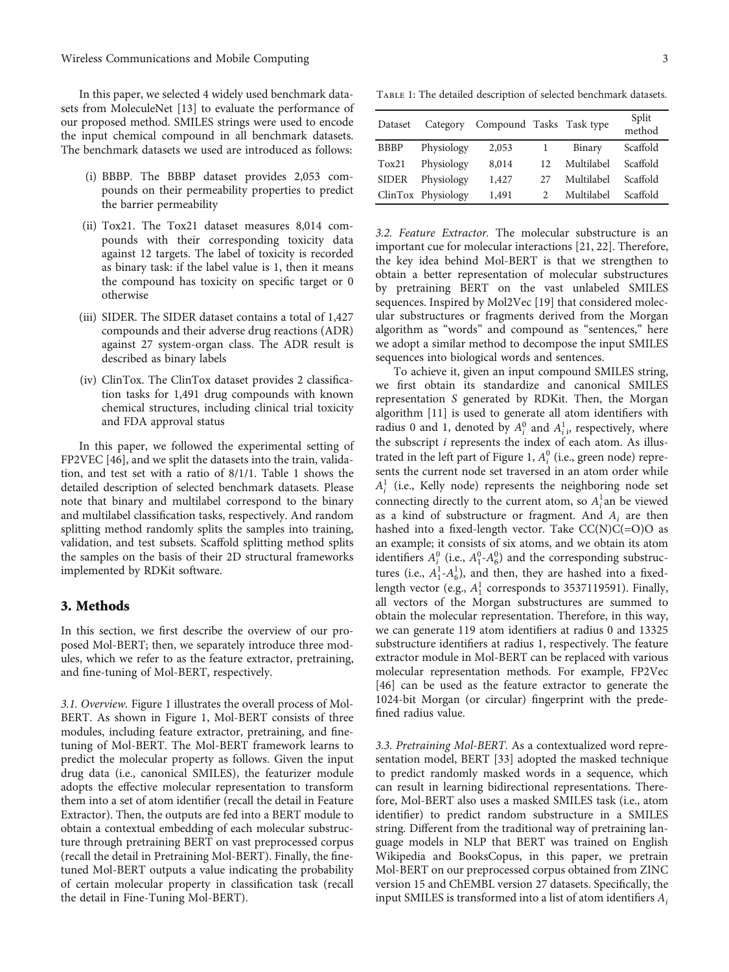<span id="page-2-0"></span>In this paper, we selected 4 widely used benchmark datasets from MoleculeNet [\[13\]](#page-5-0) to evaluate the performance of our proposed method. SMILES strings were used to encode the input chemical compound in all benchmark datasets. The benchmark datasets we used are introduced as follows:

- (i) BBBP. The BBBP dataset provides 2,053 compounds on their permeability properties to predict the barrier permeability
- (ii) Tox21. The Tox21 dataset measures 8,014 compounds with their corresponding toxicity data against 12 targets. The label of toxicity is recorded as binary task: if the label value is 1, then it means the compound has toxicity on specific target or 0 otherwise
- (iii) SIDER. The SIDER dataset contains a total of 1,427 compounds and their adverse drug reactions (ADR) against 27 system-organ class. The ADR result is described as binary labels
- (iv) ClinTox. The ClinTox dataset provides 2 classification tasks for 1,491 drug compounds with known chemical structures, including clinical trial toxicity and FDA approval status

In this paper, we followed the experimental setting of FP2VEC [[46](#page-6-0)], and we split the datasets into the train, validation, and test set with a ratio of 8/1/1. Table 1 shows the detailed description of selected benchmark datasets. Please note that binary and multilabel correspond to the binary and multilabel classification tasks, respectively. And random splitting method randomly splits the samples into training, validation, and test subsets. Scaffold splitting method splits the samples on the basis of their 2D structural frameworks implemented by RDKit software.

#### 3. Methods

In this section, we first describe the overview of our proposed Mol-BERT; then, we separately introduce three modules, which we refer to as the feature extractor, pretraining, and fine-tuning of Mol-BERT, respectively.

3.1. Overview. Figure [1](#page-3-0) illustrates the overall process of Mol-BERT. As shown in Figure [1](#page-3-0), Mol-BERT consists of three modules, including feature extractor, pretraining, and finetuning of Mol-BERT. The Mol-BERT framework learns to predict the molecular property as follows. Given the input drug data (i.e., canonical SMILES), the featurizer module adopts the effective molecular representation to transform them into a set of atom identifier (recall the detail in Feature Extractor). Then, the outputs are fed into a BERT module to obtain a contextual embedding of each molecular substructure through pretraining BERT on vast preprocessed corpus (recall the detail in Pretraining Mol-BERT). Finally, the finetuned Mol-BERT outputs a value indicating the probability of certain molecular property in classification task (recall the detail in [Fine-Tuning Mol-BERT](#page-3-0)).

| Dataset      | Category           | Compound Tasks Task type |                             |            | Split<br>method |
|--------------|--------------------|--------------------------|-----------------------------|------------|-----------------|
| <b>BBBP</b>  | Physiology         | 2,053                    |                             | Binary     | Scaffold        |
| Tox21        | Physiology         | 8,014                    | 12                          | Multilabel | Scaffold        |
| <b>SIDER</b> | Physiology         | 1,427                    | 27                          | Multilabel | Scaffold        |
|              | ClinTox Physiology | 1,491                    | $\mathcal{D}_{\mathcal{A}}$ | Multilabel | Scaffold        |

3.2. Feature Extractor. The molecular substructure is an important cue for molecular interactions [[21](#page-5-0), [22\]](#page-5-0). Therefore, the key idea behind Mol-BERT is that we strengthen to obtain a better representation of molecular substructures by pretraining BERT on the vast unlabeled SMILES sequences. Inspired by Mol2Vec [\[19\]](#page-5-0) that considered molecular substructures or fragments derived from the Morgan algorithm as "words" and compound as "sentences," here we adopt a similar method to decompose the input SMILES sequences into biological words and sentences.

To achieve it, given an input compound SMILES string, we first obtain its standardize and canonical SMILES representation *S* generated by RDKit. Then, the Morgan algorithm [\[11\]](#page-5-0) is used to generate all atom identifiers with radius 0 and 1, denoted by  $A_i^0$  and  $A_{i}^1$ , respectively, where the subscript *i* represents the index of each atom. As illus-trated in the left part of Figure [1](#page-3-0),  $A_i^0$  (i.e., green node) represents the current node set traversed in an atom order while  $A_i^1$  (i.e., Kelly node) represents the neighboring node set connecting directly to the current atom, so  $A_i^1$  an be viewed as a kind of substructure or fragment. And *Ai* are then hashed into a fixed-length vector. Take CC(N)C(=O)O as an example; it consists of six atoms, and we obtain its atom identifiers  $A_i^0$  (i.e.,  $A_1^0$ - $A_6^0$ ) and the corresponding substructures (i.e.,  $A_1^1$ - $A_6^1$ ), and then, they are hashed into a fixedlength vector (e.g.,  $A_1^1$  corresponds to 3537119591). Finally, all vectors of the Morgan substructures are summed to obtain the molecular representation. Therefore, in this way, we can generate 119 atom identifiers at radius 0 and 13325 substructure identifiers at radius 1, respectively. The feature extractor module in Mol-BERT can be replaced with various molecular representation methods. For example, FP2Vec [\[46\]](#page-6-0) can be used as the feature extractor to generate the 1024-bit Morgan (or circular) fingerprint with the predefined radius value.

3.3. Pretraining Mol-BERT. As a contextualized word representation model, BERT [[33](#page-6-0)] adopted the masked technique to predict randomly masked words in a sequence, which can result in learning bidirectional representations. Therefore, Mol-BERT also uses a masked SMILES task (i.e., atom identifier) to predict random substructure in a SMILES string. Different from the traditional way of pretraining language models in NLP that BERT was trained on English Wikipedia and BooksCopus, in this paper, we pretrain Mol-BERT on our preprocessed corpus obtained from ZINC version 15 and ChEMBL version 27 datasets. Specifically, the input SMILES is transformed into a list of atom identifiers *Ai*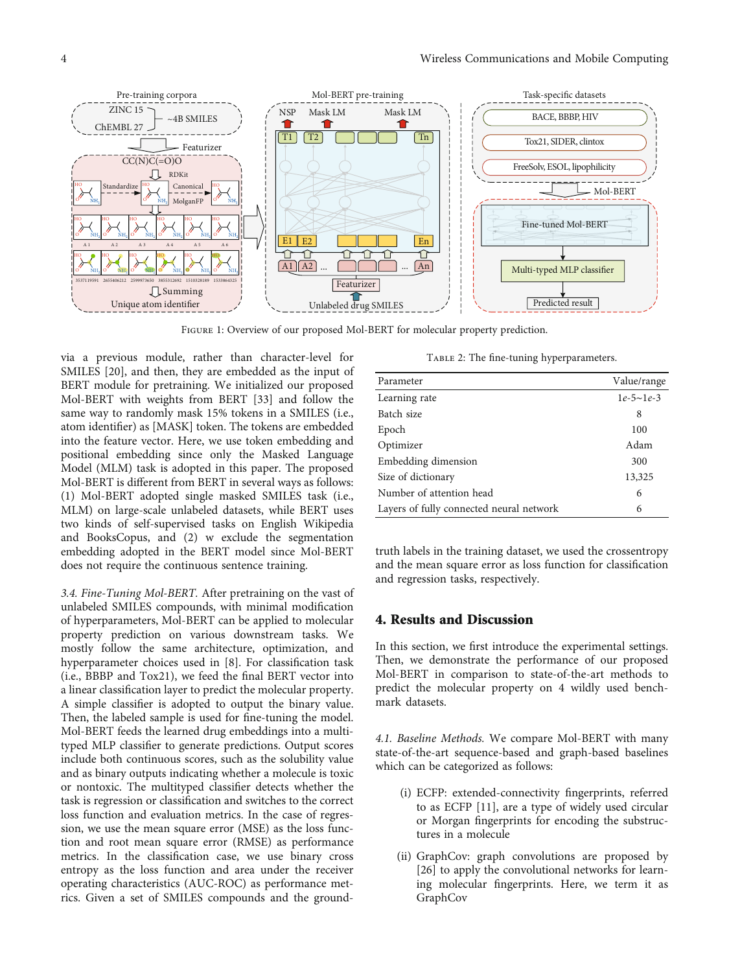<span id="page-3-0"></span>

Figure 1: Overview of our proposed Mol-BERT for molecular property prediction.

via a previous module, rather than character-level for SMILES [\[20\]](#page-5-0), and then, they are embedded as the input of BERT module for pretraining. We initialized our proposed Mol-BERT with weights from BERT [[33](#page-6-0)] and follow the same way to randomly mask 15% tokens in a SMILES (i.e., atom identifier) as [MASK] token. The tokens are embedded into the feature vector. Here, we use token embedding and positional embedding since only the Masked Language Model (MLM) task is adopted in this paper. The proposed Mol-BERT is different from BERT in several ways as follows: (1) Mol-BERT adopted single masked SMILES task (i.e., MLM) on large-scale unlabeled datasets, while BERT uses two kinds of self-supervised tasks on English Wikipedia and BooksCopus, and (2) w exclude the segmentation embedding adopted in the BERT model since Mol-BERT does not require the continuous sentence training.

3.4. Fine-Tuning Mol-BERT. After pretraining on the vast of unlabeled SMILES compounds, with minimal modification of hyperparameters, Mol-BERT can be applied to molecular property prediction on various downstream tasks. We mostly follow the same architecture, optimization, and hyperparameter choices used in [\[8\]](#page-5-0). For classification task (i.e., BBBP and Tox21), we feed the final BERT vector into a linear classification layer to predict the molecular property. A simple classifier is adopted to output the binary value. Then, the labeled sample is used for fine-tuning the model. Mol-BERT feeds the learned drug embeddings into a multityped MLP classifier to generate predictions. Output scores include both continuous scores, such as the solubility value and as binary outputs indicating whether a molecule is toxic or nontoxic. The multityped classifier detects whether the task is regression or classification and switches to the correct loss function and evaluation metrics. In the case of regression, we use the mean square error (MSE) as the loss function and root mean square error (RMSE) as performance metrics. In the classification case, we use binary cross entropy as the loss function and area under the receiver operating characteristics (AUC-ROC) as performance metrics. Given a set of SMILES compounds and the ground-

|  |  | TABLE 2: The fine-tuning hyperparameters. |
|--|--|-------------------------------------------|
|  |  |                                           |

| Parameter                                | Value/range     |
|------------------------------------------|-----------------|
| Learning rate                            | $1e-5\sim 1e-3$ |
| Batch size                               | 8               |
| Epoch                                    | 100             |
| Optimizer                                | Adam            |
| Embedding dimension                      | 300             |
| Size of dictionary                       | 13,325          |
| Number of attention head                 | 6               |
| Layers of fully connected neural network | 6               |

truth labels in the training dataset, we used the crossentropy and the mean square error as loss function for classification and regression tasks, respectively.

# 4. Results and Discussion

In this section, we first introduce the experimental settings. Then, we demonstrate the performance of our proposed Mol-BERT in comparison to state-of-the-art methods to predict the molecular property on 4 wildly used benchmark datasets.

4.1. Baseline Methods. We compare Mol-BERT with many state-of-the-art sequence-based and graph-based baselines which can be categorized as follows:

- (i) ECFP: extended-connectivity fingerprints, referred to as ECFP [\[11\]](#page-5-0), are a type of widely used circular or Morgan fingerprints for encoding the substructures in a molecule
- (ii) GraphCov: graph convolutions are proposed by [\[26\]](#page-6-0) to apply the convolutional networks for learning molecular fingerprints. Here, we term it as GraphCov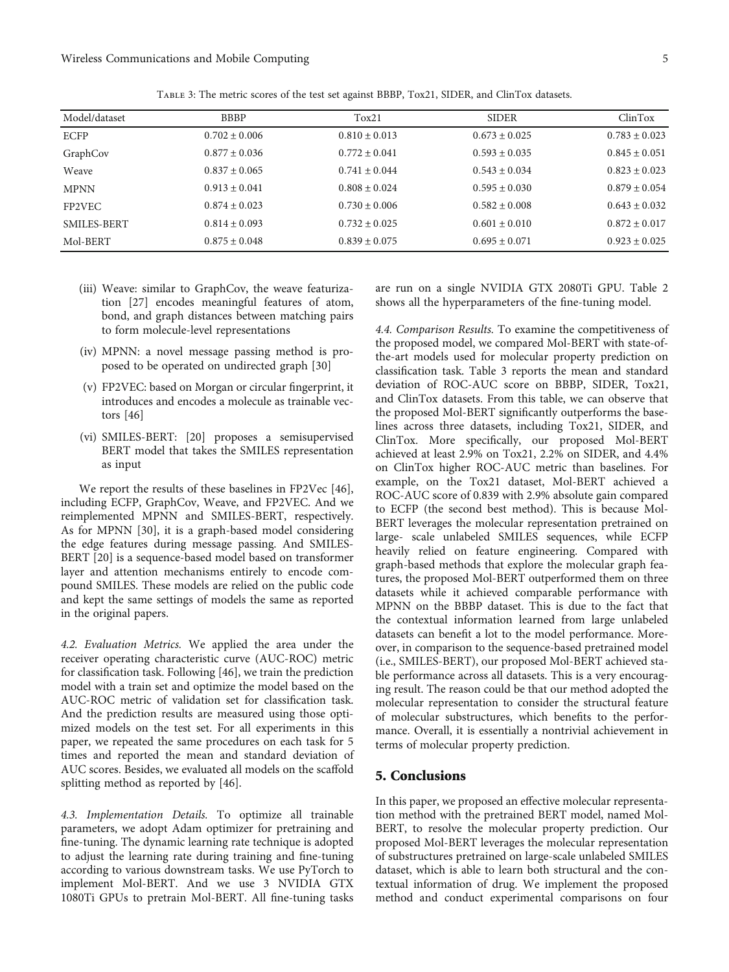<span id="page-4-0"></span>

| Model/dataset | <b>BBBP</b>       | Tox21             | <b>SIDER</b>      | ClinTox           |
|---------------|-------------------|-------------------|-------------------|-------------------|
| <b>ECFP</b>   | $0.702 \pm 0.006$ | $0.810 \pm 0.013$ | $0.673 \pm 0.025$ | $0.783 \pm 0.023$ |
| GraphCov      | $0.877 \pm 0.036$ | $0.772 + 0.041$   | $0.593 \pm 0.035$ | $0.845 \pm 0.051$ |
| Weave         | $0.837 \pm 0.065$ | $0.741 \pm 0.044$ | $0.543 \pm 0.034$ | $0.823 \pm 0.023$ |
| <b>MPNN</b>   | $0.913 \pm 0.041$ | $0.808 \pm 0.024$ | $0.595 \pm 0.030$ | $0.879 \pm 0.054$ |
| FP2VEC        | $0.874 \pm 0.023$ | $0.730 \pm 0.006$ | $0.582 \pm 0.008$ | $0.643 \pm 0.032$ |
| SMILES-BERT   | $0.814 + 0.093$   | $0.732 + 0.025$   | $0.601 + 0.010$   | $0.872 + 0.017$   |
| Mol-BERT      | $0.875 + 0.048$   | $0.839 \pm 0.075$ | $0.695 + 0.071$   | $0.923 \pm 0.025$ |

Table 3: The metric scores of the test set against BBBP, Tox21, SIDER, and ClinTox datasets.

- (iii) Weave: similar to GraphCov, the weave featurization [\[27\]](#page-6-0) encodes meaningful features of atom, bond, and graph distances between matching pairs to form molecule-level representations
- (iv) MPNN: a novel message passing method is proposed to be operated on undirected graph [[30](#page-6-0)]
- (v) FP2VEC: based on Morgan or circular fingerprint, it introduces and encodes a molecule as trainable vectors [\[46](#page-6-0)]
- (vi) SMILES-BERT: [\[20\]](#page-5-0) proposes a semisupervised BERT model that takes the SMILES representation as input

We report the results of these baselines in FP2Vec [[46](#page-6-0)], including ECFP, GraphCov, Weave, and FP2VEC. And we reimplemented MPNN and SMILES-BERT, respectively. As for MPNN [\[30\]](#page-6-0), it is a graph-based model considering the edge features during message passing. And SMILES-BERT [\[20\]](#page-5-0) is a sequence-based model based on transformer layer and attention mechanisms entirely to encode compound SMILES. These models are relied on the public code and kept the same settings of models the same as reported in the original papers.

4.2. Evaluation Metrics. We applied the area under the receiver operating characteristic curve (AUC-ROC) metric for classification task. Following [[46\]](#page-6-0), we train the prediction model with a train set and optimize the model based on the AUC-ROC metric of validation set for classification task. And the prediction results are measured using those optimized models on the test set. For all experiments in this paper, we repeated the same procedures on each task for 5 times and reported the mean and standard deviation of AUC scores. Besides, we evaluated all models on the scaffold splitting method as reported by [[46](#page-6-0)].

4.3. Implementation Details. To optimize all trainable parameters, we adopt Adam optimizer for pretraining and fine-tuning. The dynamic learning rate technique is adopted to adjust the learning rate during training and fine-tuning according to various downstream tasks. We use PyTorch to implement Mol-BERT. And we use 3 NVIDIA GTX 1080Ti GPUs to pretrain Mol-BERT. All fine-tuning tasks are run on a single NVIDIA GTX 2080Ti GPU. Table [2](#page-3-0) shows all the hyperparameters of the fine-tuning model.

4.4. Comparison Results. To examine the competitiveness of the proposed model, we compared Mol-BERT with state-ofthe-art models used for molecular property prediction on classification task. Table 3 reports the mean and standard deviation of ROC-AUC score on BBBP, SIDER, Tox21, and ClinTox datasets. From this table, we can observe that the proposed Mol-BERT significantly outperforms the baselines across three datasets, including Tox21, SIDER, and ClinTox. More specifically, our proposed Mol-BERT achieved at least 2.9% on Tox21, 2.2% on SIDER, and 4.4% on ClinTox higher ROC-AUC metric than baselines. For example, on the Tox21 dataset, Mol-BERT achieved a ROC-AUC score of 0.839 with 2.9% absolute gain compared to ECFP (the second best method). This is because Mol-BERT leverages the molecular representation pretrained on large- scale unlabeled SMILES sequences, while ECFP heavily relied on feature engineering. Compared with graph-based methods that explore the molecular graph features, the proposed Mol-BERT outperformed them on three datasets while it achieved comparable performance with MPNN on the BBBP dataset. This is due to the fact that the contextual information learned from large unlabeled datasets can benefit a lot to the model performance. Moreover, in comparison to the sequence-based pretrained model (i.e., SMILES-BERT), our proposed Mol-BERT achieved stable performance across all datasets. This is a very encouraging result. The reason could be that our method adopted the molecular representation to consider the structural feature of molecular substructures, which benefits to the performance. Overall, it is essentially a nontrivial achievement in terms of molecular property prediction.

## 5. Conclusions

In this paper, we proposed an effective molecular representation method with the pretrained BERT model, named Mol-BERT, to resolve the molecular property prediction. Our proposed Mol-BERT leverages the molecular representation of substructures pretrained on large-scale unlabeled SMILES dataset, which is able to learn both structural and the contextual information of drug. We implement the proposed method and conduct experimental comparisons on four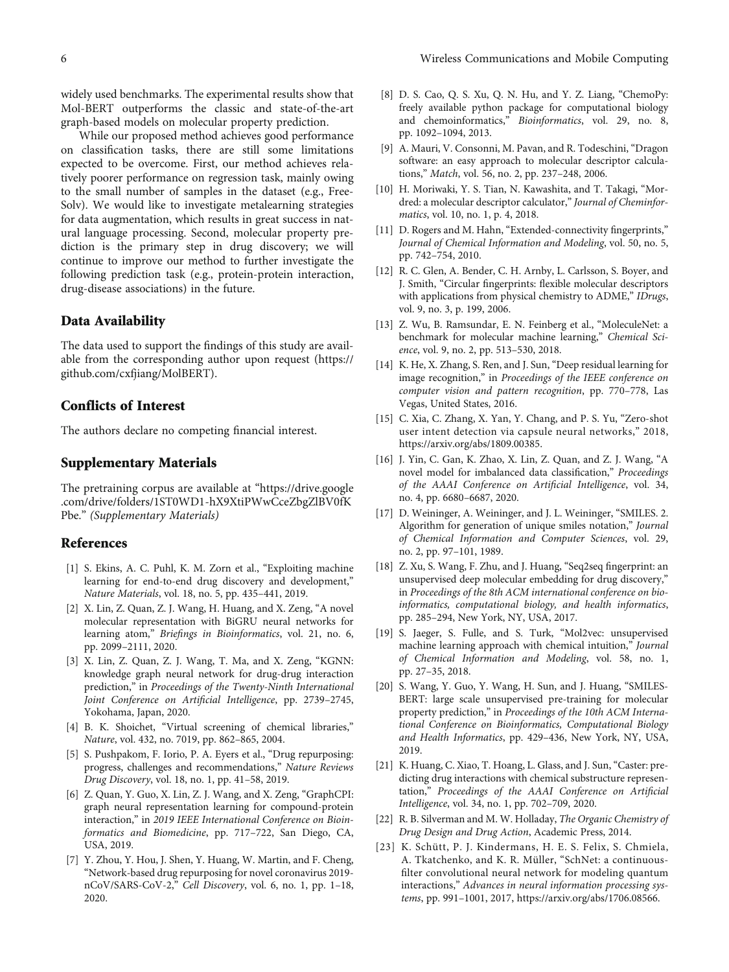<span id="page-5-0"></span>widely used benchmarks. The experimental results show that Mol-BERT outperforms the classic and state-of-the-art graph-based models on molecular property prediction.

While our proposed method achieves good performance on classification tasks, there are still some limitations expected to be overcome. First, our method achieves relatively poorer performance on regression task, mainly owing to the small number of samples in the dataset (e.g., Free-Solv). We would like to investigate metalearning strategies for data augmentation, which results in great success in natural language processing. Second, molecular property prediction is the primary step in drug discovery; we will continue to improve our method to further investigate the following prediction task (e.g., protein-protein interaction, drug-disease associations) in the future.

#### Data Availability

The data used to support the findings of this study are available from the corresponding author upon request [\(https://](https://github.com/cxfjiang/MolBERT) [github.com/cxfjiang/MolBERT](https://github.com/cxfjiang/MolBERT)).

#### Conflicts of Interest

The authors declare no competing financial interest.

#### Supplementary Materials

The pretraining corpus are available at "[https://drive.google](https://drive.google.com/drive/folders/1ST0WD1-hX9XtiPWwCceZbgZlBV0fKPbe) [.com/drive/folders/1ST0WD1-hX9XtiPWwCceZbgZlBV0fK](https://drive.google.com/drive/folders/1ST0WD1-hX9XtiPWwCceZbgZlBV0fKPbe) [Pbe.](https://drive.google.com/drive/folders/1ST0WD1-hX9XtiPWwCceZbgZlBV0fKPbe)" [\(Supplementary Materials\)](https://downloads.hindawi.com/journals/wcmc/2021/7181815.f1.txt)

#### References

- [1] S. Ekins, A. C. Puhl, K. M. Zorn et al., "Exploiting machine learning for end-to-end drug discovery and development," Nature Materials, vol. 18, no. 5, pp. 435–441, 2019.
- [2] X. Lin, Z. Quan, Z. J. Wang, H. Huang, and X. Zeng, "A novel molecular representation with BiGRU neural networks for learning atom," Briefings in Bioinformatics, vol. 21, no. 6, pp. 2099–2111, 2020.
- [3] X. Lin, Z. Quan, Z. J. Wang, T. Ma, and X. Zeng, "KGNN: knowledge graph neural network for drug-drug interaction prediction," in Proceedings of the Twenty-Ninth International Joint Conference on Artificial Intelligence, pp. 2739–2745, Yokohama, Japan, 2020.
- [4] B. K. Shoichet, "Virtual screening of chemical libraries," Nature, vol. 432, no. 7019, pp. 862–865, 2004.
- [5] S. Pushpakom, F. Iorio, P. A. Eyers et al., "Drug repurposing: progress, challenges and recommendations," Nature Reviews Drug Discovery, vol. 18, no. 1, pp. 41–58, 2019.
- [6] Z. Quan, Y. Guo, X. Lin, Z. J. Wang, and X. Zeng, "GraphCPI: graph neural representation learning for compound-protein interaction," in 2019 IEEE International Conference on Bioinformatics and Biomedicine, pp. 717–722, San Diego, CA, USA, 2019.
- [7] Y. Zhou, Y. Hou, J. Shen, Y. Huang, W. Martin, and F. Cheng, "Network-based drug repurposing for novel coronavirus 2019 nCoV/SARS-CoV-2," Cell Discovery, vol. 6, no. 1, pp. 1–18, 2020.
- [8] D. S. Cao, Q. S. Xu, Q. N. Hu, and Y. Z. Liang, "ChemoPy: freely available python package for computational biology and chemoinformatics," Bioinformatics, vol. 29, no. 8, pp. 1092–1094, 2013.
- [9] A. Mauri, V. Consonni, M. Pavan, and R. Todeschini, "Dragon software: an easy approach to molecular descriptor calculations," Match, vol. 56, no. 2, pp. 237–248, 2006.
- [10] H. Moriwaki, Y. S. Tian, N. Kawashita, and T. Takagi, "Mordred: a molecular descriptor calculator," Journal of Cheminformatics, vol. 10, no. 1, p. 4, 2018.
- [11] D. Rogers and M. Hahn, "Extended-connectivity fingerprints," Journal of Chemical Information and Modeling, vol. 50, no. 5, pp. 742–754, 2010.
- [12] R. C. Glen, A. Bender, C. H. Arnby, L. Carlsson, S. Boyer, and J. Smith, "Circular fingerprints: flexible molecular descriptors with applications from physical chemistry to ADME," IDrugs, vol. 9, no. 3, p. 199, 2006.
- [13] Z. Wu, B. Ramsundar, E. N. Feinberg et al., "MoleculeNet: a benchmark for molecular machine learning," Chemical Science, vol. 9, no. 2, pp. 513–530, 2018.
- [14] K. He, X. Zhang, S. Ren, and J. Sun, "Deep residual learning for image recognition," in Proceedings of the IEEE conference on computer vision and pattern recognition, pp. 770–778, Las Vegas, United States, 2016.
- [15] C. Xia, C. Zhang, X. Yan, Y. Chang, and P. S. Yu, "Zero-shot user intent detection via capsule neural networks," 2018, <https://arxiv.org/abs/1809.00385>.
- [16] J. Yin, C. Gan, K. Zhao, X. Lin, Z. Quan, and Z. J. Wang, "A novel model for imbalanced data classification," Proceedings of the AAAI Conference on Artificial Intelligence, vol. 34, no. 4, pp. 6680–6687, 2020.
- [17] D. Weininger, A. Weininger, and J. L. Weininger, "SMILES. 2. Algorithm for generation of unique smiles notation," Journal of Chemical Information and Computer Sciences, vol. 29, no. 2, pp. 97–101, 1989.
- [18] Z. Xu, S. Wang, F. Zhu, and J. Huang, "Seq2seq fingerprint: an unsupervised deep molecular embedding for drug discovery," in Proceedings of the 8th ACM international conference on bioinformatics, computational biology, and health informatics, pp. 285–294, New York, NY, USA, 2017.
- [19] S. Jaeger, S. Fulle, and S. Turk, "Mol2vec: unsupervised machine learning approach with chemical intuition," Journal of Chemical Information and Modeling, vol. 58, no. 1, pp. 27–35, 2018.
- [20] S. Wang, Y. Guo, Y. Wang, H. Sun, and J. Huang, "SMILES-BERT: large scale unsupervised pre-training for molecular property prediction," in Proceedings of the 10th ACM International Conference on Bioinformatics, Computational Biology and Health Informatics, pp. 429–436, New York, NY, USA, 2019.
- [21] K. Huang, C. Xiao, T. Hoang, L. Glass, and J. Sun, "Caster: predicting drug interactions with chemical substructure representation," Proceedings of the AAAI Conference on Artificial Intelligence, vol. 34, no. 1, pp. 702–709, 2020.
- [22] R. B. Silverman and M. W. Holladay, The Organic Chemistry of Drug Design and Drug Action, Academic Press, 2014.
- [23] K. Schütt, P. J. Kindermans, H. E. S. Felix, S. Chmiela, A. Tkatchenko, and K. R. Müller, "SchNet: a continuousfilter convolutional neural network for modeling quantum interactions," Advances in neural information processing systems, pp. 991–1001, 2017,<https://arxiv.org/abs/1706.08566>.